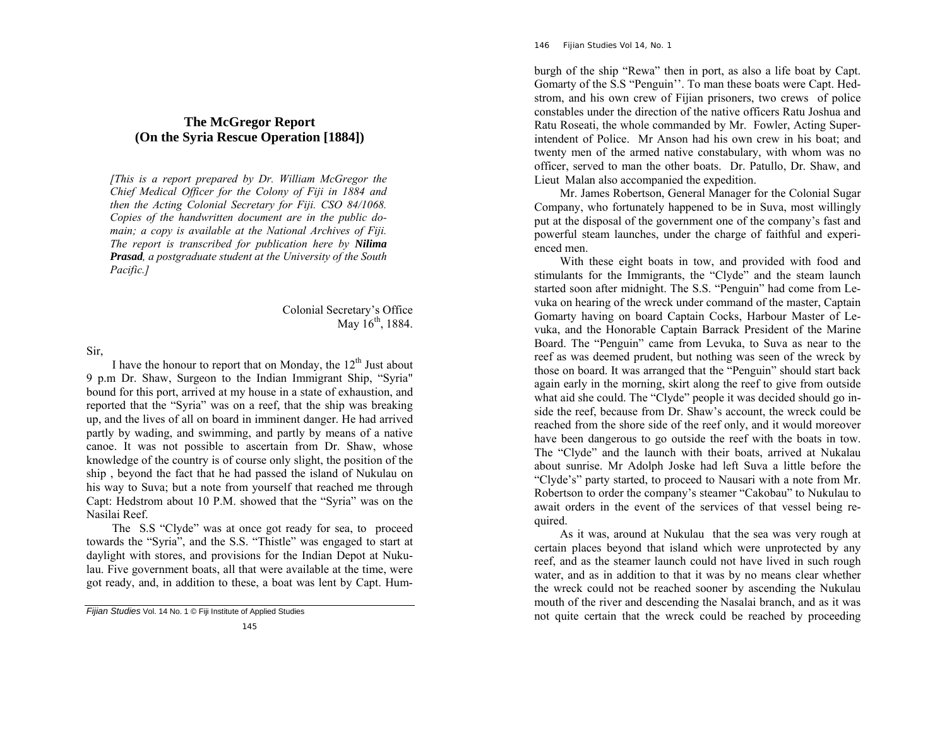## **The McGregor Report (On the Syria Rescue Operation [1884])**

*[This is a report prepared by Dr. William McGregor the Chief Medical Officer for the Colony of Fiji in 1884 and then the Acting Colonial Secretary for Fiji. CSO 84/1068. Copies of the handwritten document are in the public domain; a copy is available at the National Archives of Fiji. The report is transcribed for publication here by Nilima Prasad, a postgraduate student at the University of the South Pacific.]* 

> Colonial Secretary's Office May  $16^{th}$ , 1884.

## Sir,

I have the honour to report that on Monday, the  $12<sup>th</sup>$  Just about 9 p.m Dr. Shaw, Surgeon to the Indian Immigrant Ship, "Syria" bound for this port, arrived at my house in a state of exhaustion, and reported that the "Syria" was on a reef, that the ship was breaking up, and the lives of all on board in imminent danger. He had arrived partly by wading, and swimming, and partly by means of a native canoe. It was not possible to ascertain from Dr. Shaw, whose knowledge of the country is of course only slight, the position of the ship , beyond the fact that he had passed the island of Nukulau on his way to Suva; but a note from yourself that reached me through Capt: Hedstrom about 10 P.M. showed that the "Syria" was on the Nasilai Reef.

 The S.S "Clyde" was at once got ready for sea, to proceed towards the "Syria", and the S.S. "Thistle" was engaged to start at daylight with stores, and provisions for the Indian Depot at Nukulau. Five government boats, all that were available at the time, were got ready, and, in addition to these, a boat was lent by Capt. Hum146 *Fijian Studies Vol 14, No. 1* 

burgh of the ship "Rewa" then in port, as also a life boat by Capt. Gomarty of the S.S "Penguin''. To man these boats were Capt. Hed strom, and his own crew of Fijian prisoners, two crews of police constables under the direction of the native officers Ratu Joshua and Ratu Roseati, the whole commanded by Mr. Fowler, Acting Super intendent of Police. Mr Anson had his own crew in his boat; and<br>twenty men of the armed native constabulary, with whom was no<br>officer, served to man the other boats. Dr. Patullo, Dr. Shaw, and<br>Lieut Malan also accompanied

enced men.<br>With these eight boats in tow, and provided with food and stimulants for the Immigrants, the "Clyde" and the steam launch started soon after midnight. The S.S. "Penguin" had come from Levuka on hearing of the wreck under command of the master, Captain Gomarty having on board Captain Cocks, Harbour Master of Le vuka, and the Honorable Captain Barrack President of the Marine Board. The "Penguin" came from Levuka, to Suva as near to the reef as was deemed prudent, but nothing was seen of the wreck by those on board. It was arranged side the reef, because from Dr. Shaw's account, the wreck could be reached from the shore side of the reef only, and it would moreover have been dangerous to go outside the reef with the boats in tow. The "Clyde" and the l

quired.<br>As it was, around at Nukulau that the sea was very rough at<br>certain places beyond that island which were unprotected by any<br>reef, and as the steamer launch could not have lived in such rough<br>water, and as in additi mouth of the river and descending the Nasalai branch, and as it was not quite certain that the wreck could be reached by proceeding

*Fijian Studies* Vol. 14 No. 1 © Fiji Institute of Applied Studies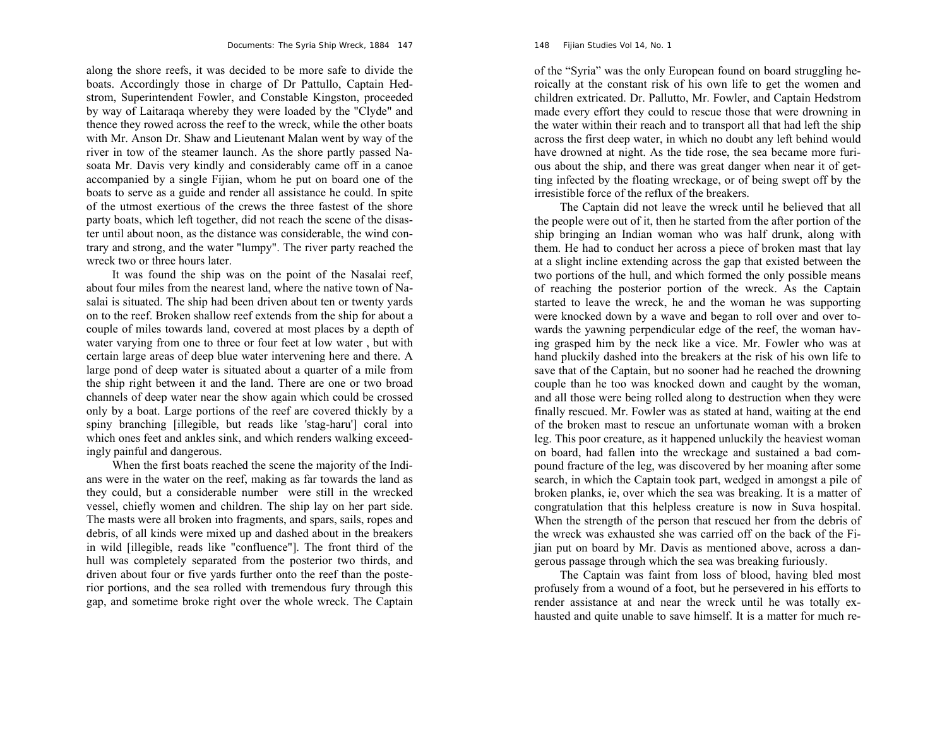along the shore reefs, it was decided to be more safe to divide the boats. Accordingly those in charge of Dr Pattullo, Captain Hedstrom, Superintendent Fowler, and Constable Kingston, proceeded by way of Laitaraqa whereby they were loaded by the "Clyde" and thence they rowed across the reef to the wreck, while the other boats with Mr. Anson Dr. Shaw and Lieutenant Malan went by way of the river in tow of the steamer launch. As the shore partly passed Nasoata Mr. Davis very kindly and considerably came off in a canoe accompanied by a single Fijian, whom he put on board one of the boats to serve as a guide and render all assistance he could. In spite of the utmost exertious of the crews the three fastest of the shore party boats, which left together, did not reach the scene of the disaster until about noon, as the distance was considerable, the wind contrary and strong, and the water "lumpy". The river party reached the wreck two or three hours later.

 It was found the ship was on the point of the Nasalai reef, about four miles from the nearest land, where the native town of Nasalai is situated. The ship had been driven about ten or twenty yards on to the reef. Broken shallow reef extends from the ship for about a couple of miles towards land, covered at most places by a depth of water varying from one to three or four feet at low water , but with certain large areas of deep blue water intervening here and there. A large pond of deep water is situated about a quarter of a mile from the ship right between it and the land. There are one or two broad channels of deep water near the show again which could be crossed only by a boat. Large portions of the reef are covered thickly by a spiny branching [illegible, but reads like 'stag-haru'] coral into which ones feet and ankles sink, and which renders walking exceedingly painful and dangerous.

 When the first boats reached the scene the majority of the Indians were in the water on the reef, making as far towards the land as they could, but a considerable number were still in the wrecked vessel, chiefly women and children. The ship lay on her part side. The masts were all broken into fragments, and spars, sails, ropes and debris, of all kinds were mixed up and dashed about in the breakers in wild [illegible, reads like "confluence"]. The front third of the hull was completely separated from the posterior two thirds, and driven about four or five yards further onto the reef than the posterior portions, and the sea rolled with tremendous fury through this gap, and sometime broke right over the whole wreck. The Captain

of the "Syria" was the only European found on board struggling heroically at the constant risk of his own life to get the women and children extricated. Dr. Pallutto, Mr. Fowler, and Captain Hedstrom made every effort they could to rescue those that were drowning in the water within their reach and to transport all that had left the ship across the first deep water, in which no doubt any left behind would have drowned at night. As the tide rose, the sea became more furious about the ship, and there was great danger when near it of getting infected by the floating wreckage, or of being swept off by the irresistible force of the reflux of the breakers.

 The Captain did not leave the wreck until he believed that all the people were out of it, then he started from the after portion of the ship bringing an Indian woman who was half drunk, along with them. He had to conduct her across a piece of broken mast that lay at a slight incline extending across the gap that existed between the two portions of the hull, and which formed the only possible means of reaching the posterior portion of the wreck. As the Captain started to leave the wreck, he and the woman he was supporting were knocked down by a wave and began to roll over and over towards the yawning perpendicular edge of the reef, the woman having grasped him by the neck like a vice. Mr. Fowler who was at hand pluckily dashed into the breakers at the risk of his own life to save that of the Captain, but no sooner had he reached the drowning couple than he too was knocked down and caught by the woman, and all those were being rolled along to destruction when they were finally rescued. Mr. Fowler was as stated at hand, waiting at the end of the broken mast to rescue an unfortunate woman with a broken leg. This poor creature, as it happened unluckily the heaviest woman on board, had fallen into the wreckage and sustained a bad compound fracture of the leg, was discovered by her moaning after some search, in which the Captain took part, wedged in amongst a pile of broken planks, ie, over which the sea was breaking. It is a matter of congratulation that this helpless creature is now in Suva hospital. When the strength of the person that rescued her from the debris of the wreck was exhausted she was carried off on the back of the Fijian put on board by Mr. Davis as mentioned above, across a dangerous passage through which the sea was breaking furiously.

 The Captain was faint from loss of blood, having bled most profusely from a wound of a foot, but he persevered in his efforts to render assistance at and near the wreck until he was totally exhausted and quite unable to save himself. It is a matter for much re-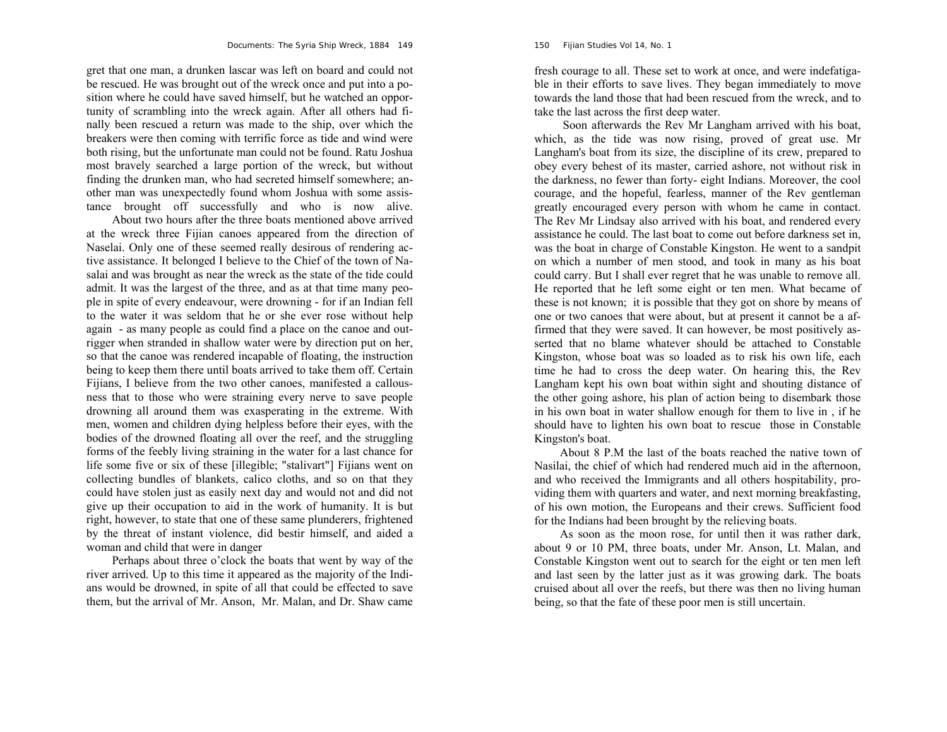gret that one man, a drunken lascar was left on board and could not be rescued. He was brought out of the wreck once and put into a position where he could have saved himself, but he watched an opportunity of scrambling into the wreck again. After all others had finally been rescued a return was made to the ship, over which the breakers were then coming with terrific force as tide and wind were both rising, but the unfortunate man could not be found. Ratu Joshua most bravely searched a large portion of the wreck, but without finding the drunken man, who had secreted himself somewhere; another man was unexpectedly found whom Joshua with some assistance brought off successfully and who is now alive.

 About two hours after the three boats mentioned above arrived at the wreck three Fijian canoes appeared from the direction of Naselai. Only one of these seemed really desirous of rendering active assistance. It belonged I believe to the Chief of the town of Nasalai and was brought as near the wreck as the state of the tide could admit. It was the largest of the three, and as at that time many people in spite of every endeavour, were drowning - for if an Indian fell to the water it was seldom that he or she ever rose without help again - as many people as could find a place on the canoe and outrigger when stranded in shallow water were by direction put on her, so that the canoe was rendered incapable of floating, the instruction being to keep them there until boats arrived to take them off. Certain Fijians, I believe from the two other canoes, manifested a callousness that to those who were straining every nerve to save people drowning all around them was exasperating in the extreme. With men, women and children dying helpless before their eyes, with the bodies of the drowned floating all over the reef, and the struggling forms of the feebly living straining in the water for a last chance for life some five or six of these [illegible; "stalivart"] Fijians went on collecting bundles of blankets, calico cloths, and so on that they could have stolen just as easily next day and would not and did not give up their occupation to aid in the work of humanity. It is but right, however, to state that one of these same plunderers, frightened by the threat of instant violence, did bestir himself, and aided a woman and child that were in danger

 Perhaps about three o'clock the boats that went by way of the river arrived. Up to this time it appeared as the majority of the Indians would be drowned, in spite of all that could be effected to save them, but the arrival of Mr. Anson, Mr. Malan, and Dr. Shaw came fresh courage to all. These set to work at once, and were indefatigable in their efforts to save lives. They began immediately to move towards the land those that had been rescued from the wreck, and to take the last across the first deep water.

 Soon afterwards the Rev Mr Langham arrived with his boat, which, as the tide was now rising, proved of great use. Mr Langham's boat from its size, the discipline of its crew, prepared to obey every behest of its master, carried ashore, not without risk in the darkness, no fewer than forty- eight Indians. Moreover, the cool courage, and the hopeful, fearless, manner of the Rev gentleman greatly encouraged every person with whom he came in contact. The Rev Mr Lindsay also arrived with his boat, and rendered every assistance he could. The last boat to come out before darkness set in, was the boat in charge of Constable Kingston. He went to a sandpit on which a number of men stood, and took in many as his boat could carry. But I shall ever regret that he was unable to remove all. He reported that he left some eight or ten men. What became of these is not known; it is possible that they got on shore by means of one or two canoes that were about, but at present it cannot be a affirmed that they were saved. It can however, be most positively asserted that no blame whatever should be attached to Constable Kingston, whose boat was so loaded as to risk his own life, each time he had to cross the deep water. On hearing this, the Rev Langham kept his own boat within sight and shouting distance of the other going ashore, his plan of action being to disembark those in his own boat in water shallow enough for them to live in , if he should have to lighten his own boat to rescue those in Constable Kingston's boat.

 About 8 P.M the last of the boats reached the native town of Nasilai, the chief of which had rendered much aid in the afternoon, and who received the Immigrants and all others hospitability, providing them with quarters and water, and next morning breakfasting, of his own motion, the Europeans and their crews. Sufficient food for the Indians had been brought by the relieving boats.

 As soon as the moon rose, for until then it was rather dark, about 9 or 10 PM, three boats, under Mr. Anson, Lt. Malan, and Constable Kingston went out to search for the eight or ten men left and last seen by the latter just as it was growing dark. The boats cruised about all over the reefs, but there was then no living human being, so that the fate of these poor men is still uncertain.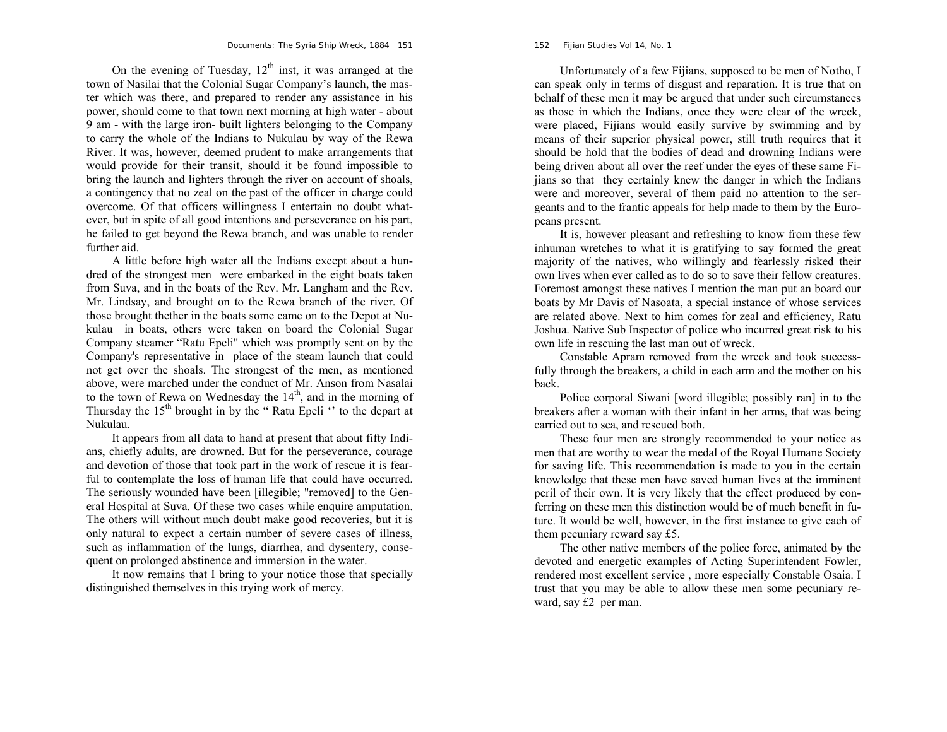On the evening of Tuesday,  $12<sup>th</sup>$  inst, it was arranged at the town of Nasilai that the Colonial Sugar Company's launch, the master which was there, and prepared to render any assistance in his power, should come to that town next morning at high water - about 9 am - with the large iron- built lighters belonging to the Company to carry the whole of the Indians to Nukulau by way of the Rewa River. It was, however, deemed prudent to make arrangements that would provide for their transit, should it be found impossible to bring the launch and lighters through the river on account of shoals, a contingency that no zeal on the past of the officer in charge could overcome. Of that officers willingness I entertain no doubt whatever, but in spite of all good intentions and perseverance on his part, he failed to get beyond the Rewa branch, and was unable to render further aid.

 A little before high water all the Indians except about a hundred of the strongest men were embarked in the eight boats taken from Suva, and in the boats of the Rev. Mr. Langham and the Rev. Mr. Lindsay, and brought on to the Rewa branch of the river. Of those brought thether in the boats some came on to the Depot at Nukulau in boats, others were taken on board the Colonial Sugar Company steamer "Ratu Epeli" which was promptly sent on by the Company's representative in place of the steam launch that could not get over the shoals. The strongest of the men, as mentioned above, were marched under the conduct of Mr. Anson from Nasalai to the town of Rewa on Wednesday the  $14<sup>th</sup>$ , and in the morning of Thursday the  $15<sup>th</sup>$  brought in by the " Ratu Epeli  $\cdot$ " to the depart at Nukulau.

 It appears from all data to hand at present that about fifty Indians, chiefly adults, are drowned. But for the perseverance, courage and devotion of those that took part in the work of rescue it is fearful to contemplate the loss of human life that could have occurred. The seriously wounded have been [illegible; "removed] to the General Hospital at Suva. Of these two cases while enquire amputation. The others will without much doubt make good recoveries, but it is only natural to expect a certain number of severe cases of illness, such as inflammation of the lungs, diarrhea, and dysentery, consequent on prolonged abstinence and immersion in the water.

 It now remains that I bring to your notice those that specially distinguished themselves in this trying work of mercy.

 Unfortunately of a few Fijians, supposed to be men of Notho, I can speak only in terms of disgust and reparation. It is true that on behalf of these men it may be argued that under such circumstances as those in which the Indians, once they were clear of the wreck, were placed, Fijians would easily survive by swimming and by means of their superior physical power, still truth requires that it should be hold that the bodies of dead and drowning Indians were being driven about all over the reef under the eyes of these same Fijians so that they certainly knew the danger in which the Indians were and moreover, several of them paid no attention to the sergeants and to the frantic appeals for help made to them by the Europeans present.

 It is, however pleasant and refreshing to know from these few inhuman wretches to what it is gratifying to say formed the great majority of the natives, who willingly and fearlessly risked their own lives when ever called as to do so to save their fellow creatures. Foremost amongst these natives I mention the man put an board our boats by Mr Davis of Nasoata, a special instance of whose services are related above. Next to him comes for zeal and efficiency, Ratu Joshua. Native Sub Inspector of police who incurred great risk to his own life in rescuing the last man out of wreck.

 Constable Apram removed from the wreck and took successfully through the breakers, a child in each arm and the mother on his back.

 Police corporal Siwani [word illegible; possibly ran] in to the breakers after a woman with their infant in her arms, that was being carried out to sea, and rescued both.

 These four men are strongly recommended to your notice as men that are worthy to wear the medal of the Royal Humane Society for saving life. This recommendation is made to you in the certain knowledge that these men have saved human lives at the imminent peril of their own. It is very likely that the effect produced by conferring on these men this distinction would be of much benefit in future. It would be well, however, in the first instance to give each of them pecuniary reward say £5.

 The other native members of the police force, animated by the devoted and energetic examples of Acting Superintendent Fowler, rendered most excellent service , more especially Constable Osaia. I trust that you may be able to allow these men some pecuniary reward, say £2 per man.